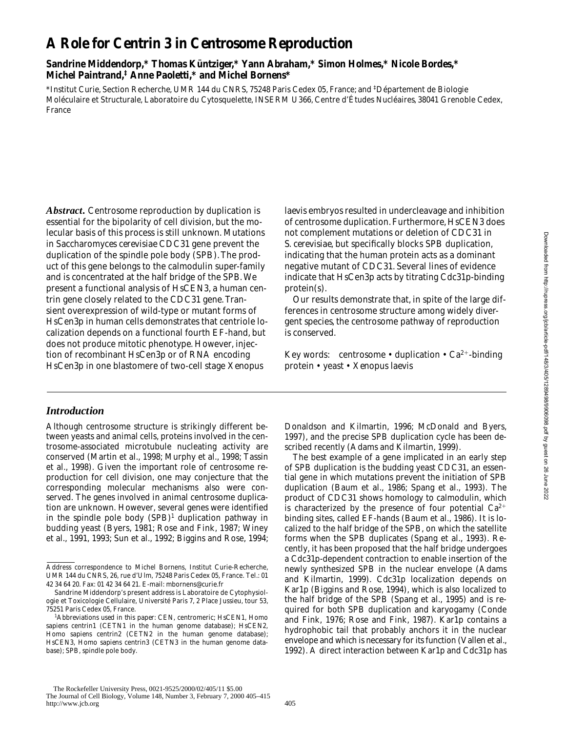# **A Role for Centrin 3 in Centrosome Reproduction**

# **Sandrine Middendorp,\* Thomas Küntziger,\* Yann Abraham,\* Simon Holmes,\* Nicole Bordes,\* Michel Paintrand,‡ Anne Paoletti,\* and Michel Bornens\***

\*Institut Curie, Section Recherche, UMR 144 du CNRS, 75248 Paris Cedex 05, France; and ‡ Département de Biologie Moléculaire et Structurale, Laboratoire du Cytosquelette, INSERM U366, Centre d'Études Nucléaires, 38041 Grenoble Cedex, France

*Abstract.* Centrosome reproduction by duplication is essential for the bipolarity of cell division, but the molecular basis of this process is still unknown. Mutations in *Saccharomyces cerevisiae CDC31* gene prevent the duplication of the spindle pole body (SPB). The product of this gene belongs to the calmodulin super-family and is concentrated at the half bridge of the SPB. We present a functional analysis of *HsCEN3*, a human centrin gene closely related to the *CDC31* gene. Transient overexpression of wild-type or mutant forms of HsCen3p in human cells demonstrates that centriole localization depends on a functional fourth EF-hand, but does not produce mitotic phenotype. However, injection of recombinant HsCen3p or of RNA encoding HsCen3p in one blastomere of two-cell stage *Xenopus* 

### *laevis* embryos resulted in undercleavage and inhibition of centrosome duplication. Furthermore, *HsCEN3* does not complement mutations or deletion of *CDC31* in *S*. *cerevisiae*, but specifically blocks SPB duplication, indicating that the human protein acts as a dominant negative mutant of *CDC31*. Several lines of evidence indicate that HsCen3p acts by titrating Cdc31p-binding protein(s).

Our results demonstrate that, in spite of the large differences in centrosome structure among widely divergent species, the centrosome pathway of reproduction is conserved.

Key words: centrosome • duplication •  $Ca^{2+}$ -binding protein • yeast • *Xenopus laevis*

# *Introduction*

Although centrosome structure is strikingly different between yeasts and animal cells, proteins involved in the centrosome-associated microtubule nucleating activity are conserved (Martin et al., 1998; Murphy et al., 1998; Tassin et al., 1998). Given the important role of centrosome reproduction for cell division, one may conjecture that the corresponding molecular mechanisms also were conserved. The genes involved in animal centrosome duplication are unknown. However, several genes were identified in the spindle pole body (SPB)<sup>1</sup> duplication pathway in budding yeast (Byers, 1981; Rose and Fink, 1987; Winey et al., 1991, 1993; Sun et al., 1992; Biggins and Rose, 1994;

Donaldson and Kilmartin, 1996; McDonald and Byers, 1997), and the precise SPB duplication cycle has been described recently (Adams and Kilmartin, 1999).

The best example of a gene implicated in an early step of SPB duplication is the budding yeast *CDC31*, an essential gene in which mutations prevent the initiation of SPB duplication (Baum et al., 1986; Spang et al., 1993). The product of *CDC31* shows homology to calmodulin, which is characterized by the presence of four potential  $Ca^{2+}$ binding sites, called EF-hands (Baum et al., 1986). It is localized to the half bridge of the SPB, on which the satellite forms when the SPB duplicates (Spang et al., 1993). Recently, it has been proposed that the half bridge undergoes a Cdc31p-dependent contraction to enable insertion of the newly synthesized SPB in the nuclear envelope (Adams and Kilmartin, 1999). Cdc31p localization depends on Kar1p (Biggins and Rose, 1994), which is also localized to the half bridge of the SPB (Spang et al., 1995) and is required for both SPB duplication and karyogamy (Conde and Fink, 1976; Rose and Fink, 1987). Kar1p contains a hydrophobic tail that probably anchors it in the nuclear envelope and which is necessary for its function (Vallen et al., 1992). A direct interaction between Kar1p and Cdc31p has

Address correspondence to Michel Bornens, Institut Curie-Recherche, UMR 144 du CNRS, 26, rue d'Ulm, 75248 Paris Cedex 05, France. Tel.: 01 42 34 64 20. Fax: 01 42 34 64 21. E-mail: mbornens@curie.fr

Sandrine Middendorp's present address is Laboratoire de Cytophysiologie et Toxicologie Cellulaire, Université Paris 7, 2 Place Jussieu, tour 53, 75251 Paris Cedex 05, France.

<sup>1</sup> *Abbreviations used in this paper:* CEN, centromeric; *HsCEN1*, *Homo sapiens* centrin1 (CETN1 in the human genome database); *HsCEN2*, *Homo sapiens* centrin2 (CETN2 in the human genome database); *HsCEN3*, *Homo sapiens* centrin3 (CETN3 in the human genome database); SPB, spindle pole body.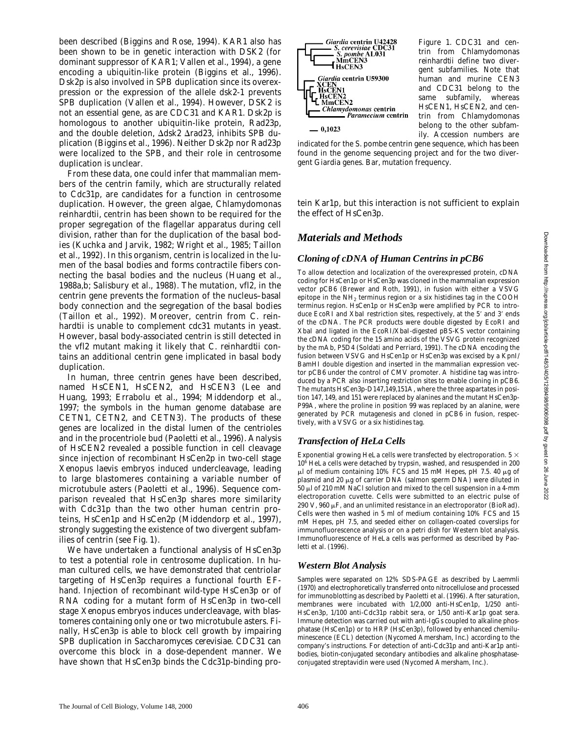been described (Biggins and Rose, 1994). *KAR1* also has been shown to be in genetic interaction with *DSK2* (for dominant suppressor of *KAR1*; Vallen et al., 1994), a gene encoding a ubiquitin-like protein (Biggins et al., 1996). Dsk2p is also involved in SPB duplication since its overexpression or the expression of the allele *dsk2-1* prevents SPB duplication (Vallen et al., 1994). However, *DSK2* is not an essential gene, as are *CDC31* and *KAR1*. Dsk2p is homologous to another ubiquitin-like protein, Rad23p, and the double deletion,  $\Delta ds \vec{k}$   $\Delta rad23$ , inhibits SPB duplication (Biggins et al., 1996). Neither Dsk2p nor Rad23p were localized to the SPB, and their role in centrosome duplication is unclear.

From these data, one could infer that mammalian members of the centrin family, which are structurally related to Cdc31p, are candidates for a function in centrosome duplication. However, the green algae, *Chlamydomonas reinhardtii*, centrin has been shown to be required for the proper segregation of the flagellar apparatus during cell division, rather than for the duplication of the basal bodies (Kuchka and Jarvik, 1982; Wright et al., 1985; Taillon et al., 1992). In this organism, centrin is localized in the lumen of the basal bodies and forms contractile fibers connecting the basal bodies and the nucleus (Huang et al., 1988a,b; Salisbury et al., 1988). The mutation, vfl2, in the centrin gene prevents the formation of the nucleus–basal body connection and the segregation of the basal bodies (Taillon et al., 1992). Moreover, centrin from *C*. *reinhardtii* is unable to complement *cdc31* mutants in yeast. However, basal body-associated centrin is still detected in the vfl2 mutant making it likely that *C*. *reinhardtii* contains an additional centrin gene implicated in basal body duplication.

In human, three centrin genes have been described, named *HsCEN1*, *HsCEN2*, and *HsCEN3* (Lee and Huang, 1993; Errabolu et al., 1994; Middendorp et al., 1997; the symbols in the human genome database are CETN1, CETN2, and CETN3). The products of these genes are localized in the distal lumen of the centrioles and in the procentriole bud (Paoletti et al., 1996). Analysis of *HsCEN2* revealed a possible function in cell cleavage since injection of recombinant HsCen2p in two-cell stage *Xenopus laevis* embryos induced undercleavage, leading to large blastomeres containing a variable number of microtubule asters (Paoletti et al., 1996). Sequence comparison revealed that HsCen3p shares more similarity with Cdc31p than the two other human centrin proteins, HsCen1p and HsCen2p (Middendorp et al., 1997), strongly suggesting the existence of two divergent subfamilies of centrin (see Fig. 1).

We have undertaken a functional analysis of HsCen3p to test a potential role in centrosome duplication. In human cultured cells, we have demonstrated that centriolar targeting of HsCen3p requires a functional fourth EFhand. Injection of recombinant wild-type HsCen3p or of RNA coding for a mutant form of HsCen3p in two-cell stage *Xenopus* embryos induces undercleavage, with blastomeres containing only one or two microtubule asters. Finally, HsCen3p is able to block cell growth by impairing SPB duplication in *Saccharomyces cerevisiae*. *CDC31* can overcome this block in a dose-dependent manner. We have shown that HsCen3p binds the Cdc31p-binding pro-



*Figure 1. CDC31* and centrin from *Chlamydomonas reinhardtii* define two divergent subfamilies. Note that human and murine *CEN3* and *CDC31* belong to the same subfamily, whereas *HsCEN1*, *HsCEN2*, and centrin from *Chlamydomonas* belong to the other subfamily. Accession numbers are

indicated for the *S*. *pombe* centrin gene sequence, which has been found in the genome sequencing project and for the two divergent *Giardia* genes. Bar, mutation frequency.

tein Kar1p, but this interaction is not sufficient to explain the effect of HsCen3p.

# *Materials and Methods*

#### *Cloning of cDNA of Human Centrins in pCB6*

To allow detection and localization of the overexpressed protein, cDNA coding for HsCen1p or HsCen3p was cloned in the mammalian expression vector pCB6 (Brewer and Roth, 1991), in fusion with either a VSVG epitope in the  $NH<sub>2</sub>$  terminus region or a six histidines tag in the COOH terminus region. HsCen1p or HsCen3p were amplified by PCR to introduce EcoRI and XbaI restriction sites, respectively, at the 5' and 3' ends of the cDNA. The PCR products were double digested by EcoRI and XbaI and ligated in the EcoRI/XbaI-digested pBS-KS vector containing the cDNA coding for the 15 amino acids of the VSVG protein recognized by the mAb, P5D4 (Soldati and Perriard, 1991). The cDNA encoding the fusion between VSVG and HsCen1p or HsCen3p was excised by a KpnI/ BamHI double digestion and inserted in the mammalian expression vector pCB6 under the control of CMV promoter. A histidine tag was introduced by a PCR also inserting restriction sites to enable cloning in pCB6. The mutants HsCen3p-D147,149,151A, where the three aspartates in position 147, 149, and 151 were replaced by alanines and the mutant HsCen3p-P99A, where the proline in position 99 was replaced by an alanine, were generated by PCR mutagenesis and cloned in pCB6 in fusion, respectively, with a VSVG or a six histidines tag.

#### *Transfection of HeLa Cells*

Exponential growing HeLa cells were transfected by electroporation.  $5 \times$ 106 HeLa cells were detached by trypsin, washed, and resuspended in 200  $\mu$ l of medium containing 10% FCS and 15 mM Hepes, pH 7.5. 40  $\mu$ g of plasmid and 20 µg of carrier DNA (salmon sperm DNA) were diluted in 50 ml of 210 mM NaCl solution and mixed to the cell suspension in a 4-mm electroporation cuvette. Cells were submitted to an electric pulse of 290 V, 960  $\mu$ F, and an unlimited resistance in an electroporator (BioRad). Cells were then washed in 5 ml of medium containing 10% FCS and 15 mM Hepes, pH 7.5, and seeded either on collagen-coated coverslips for immunofluorescence analysis or on a petri dish for Western blot analysis. Immunofluorescence of HeLa cells was performed as described by Paoletti et al. (1996).

#### *Western Blot Analysis*

Samples were separated on 12% SDS-PAGE as described by Laemmli (1970) and electrophoretically transferred onto nitrocellulose and processed for immunoblotting as described by Paoletti et al. (1996). After saturation, membranes were incubated with 1/2,000 anti-HsCen1p, 1/250 anti-HsCen3p, 1/100 anti-Cdc31p rabbit sera, or 1/50 anti-Kar1p goat sera. Immune detection was carried out with anti-IgGs coupled to alkaline phosphatase (HsCen1p) or to HRP (HsCen3p), followed by enhanced chemiluminescence (ECL) detection (Nycomed Amersham, Inc.) according to the company's instructions. For detection of anti-Cdc31p and anti-Kar1p antibodies, biotin-conjugated secondary antibodies and alkaline phosphataseconjugated streptavidin were used (Nycomed Amersham, Inc.).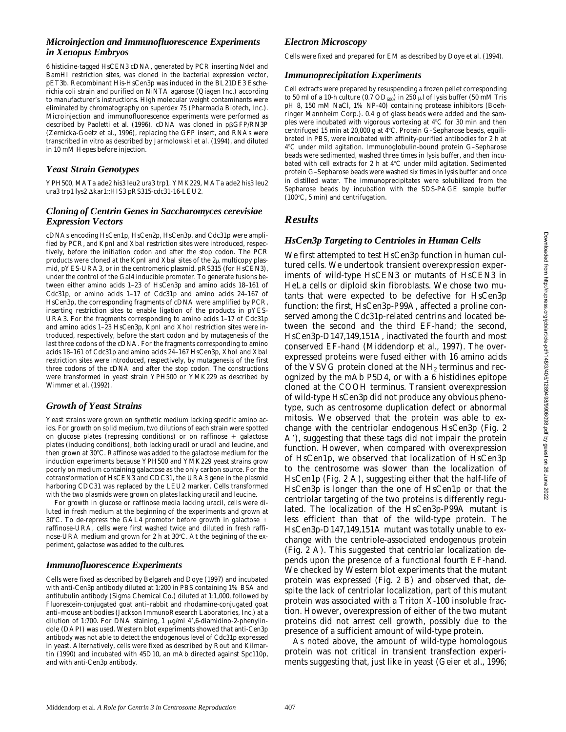# *Microinjection and Immunofluorescence Experiments in Xenopus Embryos*

6 histidine-tagged *HsCEN3* cDNA, generated by PCR inserting NdeI and BamHI restriction sites, was cloned in the bacterial expression vector, pET3b. Recombinant His-HsCen3p was induced in the BL21DE3 *Escherichia coli* strain and purified on NiNTA agarose (Qiagen Inc.) according to manufacturer's instructions. High molecular weight contaminants were eliminated by chromatography on superdex 75 (Pharmacia Biotech, Inc.). Microinjection and immunofluorescence experiments were performed as described by Paoletti et al. (1996). cDNA was cloned in pßGFP/RN3P (Zernicka-Goetz et al., 1996), replacing the GFP insert, and RNAs were transcribed in vitro as described by Jarmolowski et al. (1994), and diluted in 10 mM Hepes before injection.

# *Yeast Strain Genotypes*

YPH500, MATa ade2 his3 leu2 ura3 trp1. YMK229, MATa ade2 his3 leu2 ura3 trp1 lys2 Akar1::HIS3 pRS315-cdc31-16-LEU2.

# *Cloning of Centrin Genes in Saccharomyces cerevisiae Expression Vectors*

cDNAs encoding HsCen1p, HsCen2p, HsCen3p, and Cdc31p were amplified by PCR, and KpnI and XbaI restriction sites were introduced, respectively, before the initiation codon and after the stop codon. The PCR products were cloned at the KpnI and XbaI sites of the  $2\mu$  multicopy plasmid, pYES-URA3, or in the centromeric plasmid, pRS315 (for HsCEN3), under the control of the Gal4 inducible promoter. To generate fusions between either amino acids 1–23 of HsCen3p and amino acids 18–161 of Cdc31p, or amino acids 1–17 of Cdc31p and amino acids 24–167 of HsCen3p, the corresponding fragments of cDNA were amplified by PCR, inserting restriction sites to enable ligation of the products in pYES-URA3. For the fragments corresponding to amino acids 1–17 of Cdc31p and amino acids 1–23 HsCen3p, KpnI and XhoI restriction sites were introduced, respectively, before the start codon and by mutagenesis of the last three codons of the cDNA. For the fragments corresponding to amino acids 18–161 of Cdc31p and amino acids 24–167 HsCen3p, XhoI and XbaI restriction sites were introduced, respectively, by mutagenesis of the first three codons of the cDNA and after the stop codon. The constructions were transformed in yeast strain YPH500 or YMK229 as described by Wimmer et al. (1992).

# *Growth of Yeast Strains*

Yeast strains were grown on synthetic medium lacking specific amino acids. For growth on solid medium, two dilutions of each strain were spotted on glucose plates (repressing conditions) or on raffinose  $+$  galactose plates (inducing conditions), both lacking uracil or uracil and leucine, and then grown at 30°C. Raffinose was added to the galactose medium for the induction experiments because YPH500 and YMK229 yeast strains grow poorly on medium containing galactose as the only carbon source. For the cotransformation of *HsCEN3* and *CDC31*, the URA3 gene in the plasmid harboring *CDC31* was replaced by the LEU2 marker. Cells transformed with the two plasmids were grown on plates lacking uracil and leucine.

For growth in glucose or raffinose media lacking uracil, cells were diluted in fresh medium at the beginning of the experiments and grown at 30°C. To de-repress the GAL4 promotor before growth in galactose  $+$ raffinose-URA, cells were first washed twice and diluted in fresh raffinose-URA medium and grown for 2 h at 30°C. At the begining of the experiment, galactose was added to the cultures.

# *Immunofluorescence Experiments*

Cells were fixed as described by Belgareh and Doye (1997) and incubated with anti-Cen3p antibody diluted at 1:200 in PBS containing 1% BSA and antitubulin antibody (Sigma Chemical Co.) diluted at 1:1,000, followed by Fluorescein-conjugated goat anti–rabbit and rhodamine-conjugated goat anti–mouse antibodies (Jackson ImmunoResearch Laboratories, Inc.) at a dilution of 1:700. For DNA staining, 1  $\mu$ g/ml 4',6-diamidino-2-phenylindole (DAPI) was used. Western blot experiments showed that anti-Cen3p antibody was not able to detect the endogenous level of Cdc31p expressed in yeast. Alternatively, cells were fixed as described by Rout and Kilmartin (1990) and incubated with 45D10, an mAb directed against Spc110p, and with anti-Cen3p antibody.

# *Electron Microscopy*

Cells were fixed and prepared for EM as described by Doye et al. (1994).

# *Immunoprecipitation Experiments*

Cell extracts were prepared by resuspending a frozen pellet corresponding to 50 ml of a 10-h culture (0.7  $OD_{600}$ ) in 250  $\mu$ l of lysis buffer (50 mM Tris pH 8, 150 mM NaCl, 1% NP-40) containing protease inhibitors (Boehringer Mannheim Corp.). 0.4 g of glass beads were added and the samples were incubated with vigorous vortexing at 4°C for 30 min and then centrifuged 15 min at 20,000 g at 4°C. Protein G-Sepharose beads, equilibrated in PBS, were incubated with affinity-purified antibodies for 2 h at 48C under mild agitation. Immunoglobulin-bound protein G–Sepharose beads were sedimented, washed three times in lysis buffer, and then incubated with cell extracts for 2 h at 4°C under mild agitation. Sedimented protein G–Sepharose beads were washed six times in lysis buffer and once in distilled water. The immunoprecipitates were solubilized from the Sepharose beads by incubation with the SDS-PAGE sample buffer  $(100^{\circ}C, 5 \text{ min})$  and centrifugation.

# *Results*

# *HsCen3p Targeting to Centrioles in Human Cells*

We first attempted to test HsCen3p function in human cultured cells. We undertook transient overexpression experiments of wild-type *HsCEN3* or mutants of *HsCEN3* in HeLa cells or diploid skin fibroblasts. We chose two mutants that were expected to be defective for HsCen3p function: the first, HsCen3p-P99A, affected a proline conserved among the Cdc31p-related centrins and located between the second and the third EF-hand; the second, HsCen3p-D147,149,151A, inactivated the fourth and most conserved EF-hand (Middendorp et al., 1997). The overexpressed proteins were fused either with 16 amino acids of the VSVG protein cloned at the  $NH<sub>2</sub>$  terminus and recognized by the mAb P5D4, or with a 6 histidines epitope cloned at the COOH terminus. Transient overexpression of wild-type HsCen3p did not produce any obvious phenotype, such as centrosome duplication defect or abnormal mitosis. We observed that the protein was able to exchange with the centriolar endogenous HsCen3p (Fig. 2 A<sup>'</sup>), suggesting that these tags did not impair the protein function. However, when compared with overexpression of HsCen1p, we observed that localization of HsCen3p to the centrosome was slower than the localization of HsCen1p (Fig. 2 A), suggesting either that the half-life of HsCen3p is longer than the one of HsCen1p or that the centriolar targeting of the two proteins is differently regulated. The localization of the HsCen3p-P99A mutant is less efficient than that of the wild-type protein. The HsCen3p-D147,149,151A mutant was totally unable to exchange with the centriole-associated endogenous protein (Fig. 2 A). This suggested that centriolar localization depends upon the presence of a functional fourth EF-hand. We checked by Western blot experiments that the mutant protein was expressed (Fig. 2 B) and observed that, despite the lack of centriolar localization, part of this mutant protein was associated with a Triton X-100 insoluble fraction. However, overexpression of either of the two mutant proteins did not arrest cell growth, possibly due to the presence of a sufficient amount of wild-type protein.

As noted above, the amount of wild-type homologous protein was not critical in transient transfection experiments suggesting that, just like in yeast (Geier et al., 1996;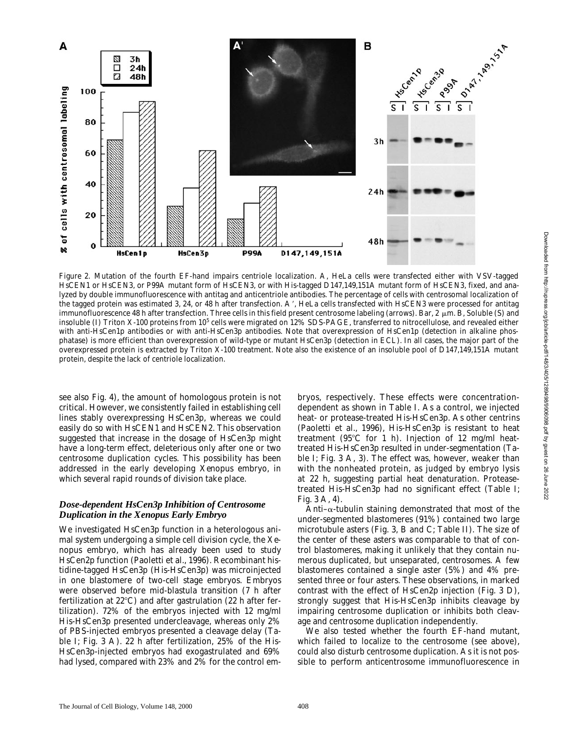

*Figure 2.* Mutation of the fourth EF-hand impairs centriole localization. A, HeLa cells were transfected either with VSV-tagged *HsCEN1* or *HsCEN3*, or P99A mutant form of *HsCEN3*, or with His-tagged D147,149,151A mutant form of *HsCEN3*, fixed, and analyzed by double immunofluorescence with antitag and anticentriole antibodies. The percentage of cells with centrosomal localization of the tagged protein was estimated 3, 24, or 48 h after transfection. A', HeLa cells transfected with HsCEN3 were processed for antitag immunofluorescence 48 h after transfection. Three cells in this field present centrosome labeling (arrows). Bar,  $2 \mu m$ . B, Soluble (S) and insoluble (I) Triton X-100 proteins from 10<sup>5</sup> cells were migrated on 12% SDS-PAGE, transferred to nitrocellulose, and revealed either with anti-HsCen1p antibodies or with anti-HsCen3p antibodies. Note that overexpression of HsCen1p (detection in alkaline phosphatase) is more efficient than overexpression of wild-type or mutant HsCen3p (detection in ECL). In all cases, the major part of the overexpressed protein is extracted by Triton X-100 treatment. Note also the existence of an insoluble pool of D147,149,151A mutant protein, despite the lack of centriole localization.

see also Fig. 4), the amount of homologous protein is not critical. However, we consistently failed in establishing cell lines stably overexpressing HsCen3p, whereas we could easily do so with *HsCEN1* and *HsCEN2*. This observation suggested that increase in the dosage of HsCen3p might have a long-term effect, deleterious only after one or two centrosome duplication cycles. This possibility has been addressed in the early developing *Xenopus* embryo, in which several rapid rounds of division take place.

#### *Dose-dependent HsCen3p Inhibition of Centrosome Duplication in the Xenopus Early Embryo*

We investigated HsCen3p function in a heterologous animal system undergoing a simple cell division cycle, the *Xenopus* embryo, which has already been used to study HsCen2p function (Paoletti et al., 1996). Recombinant histidine-tagged HsCen3p (His-HsCen3p) was microinjected in one blastomere of two-cell stage embryos. Embryos were observed before mid-blastula transition (7 h after fertilization at  $22^{\circ}$ C) and after gastrulation (22 h after fertilization). 72% of the embryos injected with 12 mg/ml His-HsCen3p presented undercleavage, whereas only 2% of PBS-injected embryos presented a cleavage delay (Table I; Fig. 3 A). 22 h after fertilization, 25% of the His-HsCen3p-injected embryos had exogastrulated and 69% had lysed, compared with 23% and 2% for the control embryos, respectively. These effects were concentrationdependent as shown in Table I. As a control, we injected heat- or protease-treated His-HsCen3p. As other centrins (Paoletti et al., 1996), His-HsCen3p is resistant to heat treatment ( $95^{\circ}$ C for 1 h). Injection of 12 mg/ml heattreated His-HsCen3p resulted in under-segmentation (Table I; Fig. 3 A, 3). The effect was, however, weaker than with the nonheated protein, as judged by embryo lysis at 22 h, suggesting partial heat denaturation. Proteasetreated His-HsCen3p had no significant effect (Table I; Fig. 3 A, 4).

Anti– $\alpha$ -tubulin staining demonstrated that most of the under-segmented blastomeres (91%) contained two large microtubule asters (Fig. 3, B and C; Table II). The size of the center of these asters was comparable to that of control blastomeres, making it unlikely that they contain numerous duplicated, but unseparated, centrosomes. A few blastomeres contained a single aster (5%) and 4% presented three or four asters. These observations, in marked contrast with the effect of HsCen2p injection (Fig. 3 D), strongly suggest that His-HsCen3p inhibits cleavage by impairing centrosome duplication or inhibits both cleavage and centrosome duplication independently.

We also tested whether the fourth EF-hand mutant, which failed to localize to the centrosome (see above), could also disturb centrosome duplication. As it is not possible to perform anticentrosome immunofluorescence in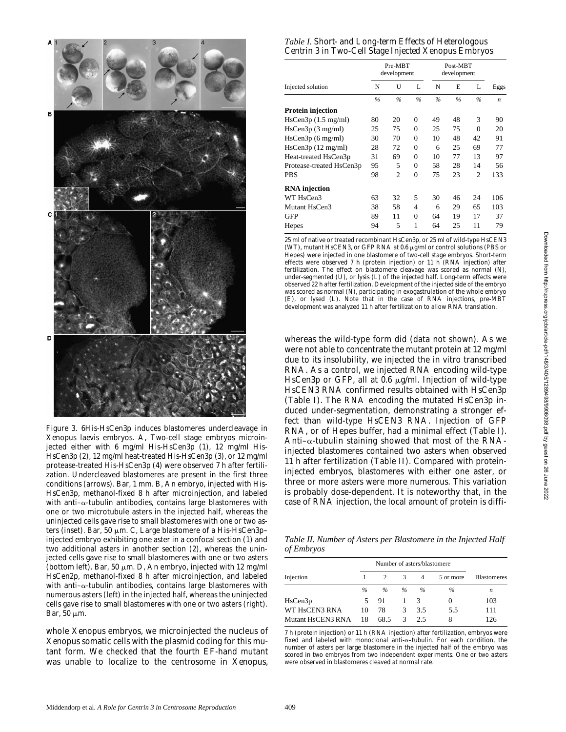

*Figure 3.* 6His-HsCen3p induces blastomeres undercleavage in *Xenopus laevis* embryos. A, Two-cell stage embryos microinjected either with 6 mg/ml His-HsCen3p (1), 12 mg/ml His-HsCen3p (2), 12 mg/ml heat-treated His-HsCen3p (3), or 12 mg/ml protease-treated His-HsCen3p (4) were observed 7 h after fertilization. Undercleaved blastomeres are present in the first three conditions (arrows). Bar, 1 mm. B, An embryo, injected with His-HsCen3p, methanol-fixed 8 h after microinjection, and labeled with anti- $\alpha$ -tubulin antibodies, contains large blastomeres with one or two microtubule asters in the injected half, whereas the uninjected cells gave rise to small blastomeres with one or two asters (inset). Bar, 50  $\mu$ m. C, Large blastomere of a His-HsCen3pinjected embryo exhibiting one aster in a confocal section (1) and two additional asters in another section (2), whereas the uninjected cells gave rise to small blastomeres with one or two asters (bottom left). Bar, 50  $\mu$ m. D, An embryo, injected with 12 mg/ml HsCen2p, methanol-fixed 8 h after microinjection, and labeled with anti- $\alpha$ -tubulin antibodies, contains large blastomeres with numerous asters (left) in the injected half, whereas the uninjected cells gave rise to small blastomeres with one or two asters (right). Bar,  $50 \mu m$ .

whole *Xenopus* embryos, we microinjected the nucleus of *Xenopus* somatic cells with the plasmid coding for this mutant form. We checked that the fourth EF-hand mutant was unable to localize to the centrosome in *Xenopus*,

|  | Table I. Short- and Long-term Effects of Heterologous |  |
|--|-------------------------------------------------------|--|
|  | Centrin 3 in Two-Cell Stage Injected Xenopus Embryos  |  |

|                          | Pre-MBT<br>development |                |                | Post-MBT<br>development |      |                |                  |
|--------------------------|------------------------|----------------|----------------|-------------------------|------|----------------|------------------|
| Injected solution        | N                      | U              | L              | N                       | E    | L              | Eggs             |
|                          | $\frac{9}{6}$          | $\%$           | $\frac{0}{0}$  | $\frac{9}{6}$           | $\%$ | $\frac{0}{6}$  | $\boldsymbol{n}$ |
| Protein injection        |                        |                |                |                         |      |                |                  |
| HsCen3p(1.5 mg/ml)       | 80                     | 20             | $\theta$       | 49                      | 48   | 3              | 90               |
| HsCen3p(3 mg/ml)         | 25                     | 75             | $\overline{0}$ | 25                      | 75   | $\theta$       | 20               |
| HsCen3p(6 mg/ml)         | 30                     | 70             | $\theta$       | 10                      | 48   | 42             | 91               |
| HsCen3p(12 mg/ml)        | 28                     | 72             | $\theta$       | 6                       | 25   | 69             | 77               |
| Heat-treated HsCen3p     | 31                     | 69             | $\overline{0}$ | 10                      | 77   | 13             | 97               |
| Protease-treated HsCen3p | 95                     | 5              | $\theta$       | 58                      | 28   | 14             | 56               |
| PBS                      | 98                     | $\overline{c}$ | $\theta$       | 75                      | 23   | $\overline{c}$ | 133              |
| <b>RNA</b> injection     |                        |                |                |                         |      |                |                  |
| WT HsCen3                | 63                     | 32             | 5              | 30                      | 46   | 24             | 106              |
| Mutant HsCen3            | 38                     | 58             | 4              | 6                       | 29   | 65             | 103              |
| GFP                      | 89                     | 11             | $\overline{0}$ | 64                      | 19   | 17             | 37               |
| Hepes                    | 94                     | 5              | 1              | 64                      | 25   | 11             | 79               |
|                          |                        |                |                |                         |      |                |                  |

25 ml of native or treated recombinant HsCen3p, or 25 ml of wild-type HsCEN3 (WT), mutant HsCEN3, or GFP RNA at 0.6  $\mu$ g/ml or control solutions (PBS or Hepes) were injected in one blastomere of two-cell stage embryos. Short-term effects were observed 7 h (protein injection) or 11 h (RNA injection) after fertilization. The effect on blastomere cleavage was scored as normal (N), under-segmented (U), or lysis (L) of the injected half. Long-term effects were observed 22 h after fertilization. Development of the injected side of the embryo was scored as normal (N), participating in exogastrulation of the whole embryo (E), or lysed (L). Note that in the case of RNA injections, pre-MBT development was analyzed 11 h after fertilization to allow RNA translation.

whereas the wild-type form did (data not shown). As we were not able to concentrate the mutant protein at 12 mg/ml due to its insolubility, we injected the in vitro transcribed RNA. As a control, we injected RNA encoding wild-type HsCen3p or GFP, all at  $0.6 \mu g/ml$ . Injection of wild-type *HsCEN3* RNA confirmed results obtained with HsCen3p (Table I). The RNA encoding the mutated HsCen3p induced under-segmentation, demonstrating a stronger effect than wild-type *HsCEN3* RNA. Injection of GFP RNA, or of Hepes buffer, had a minimal effect (Table I). Anti– $\alpha$ -tubulin staining showed that most of the RNAinjected blastomeres contained two asters when observed 11 h after fertilization (Table II). Compared with proteininjected embryos, blastomeres with either one aster, or three or more asters were more numerous. This variation is probably dose-dependent. It is noteworthy that, in the case of RNA injection, the local amount of protein is diffi-

*Table II. Number of Asters per Blastomere in the Injected Half of Embryos* 

|                   | Number of asters/blastomere |      |               |                |           |                    |  |
|-------------------|-----------------------------|------|---------------|----------------|-----------|--------------------|--|
| Injection         |                             |      | 3             | $\overline{4}$ | 5 or more | <b>Blastomeres</b> |  |
|                   | $\%$                        | $\%$ | $\%$          | $\%$           | $\%$      | n                  |  |
| HsCen3p           | 5                           | 91   |               | 3              | $\theta$  | 103                |  |
| WT HsCEN3 RNA     | 10                          | 78   | 3             | 3.5            | 5.5       | 111                |  |
| Mutant HsCEN3 RNA | 18                          | 68.5 | $\mathcal{R}$ | 25             | 8         | 126                |  |

7 h (protein injection) or 11 h (RNA injection) after fertilization, embryos were fixed and labeled with monoclonal anti- $\alpha$ -tubulin. For each condition, the number of asters per large blastomere in the injected half of the embryo was scored in two embryos from two independent experiments. One or two asters were observed in blastomeres cleaved at normal rate.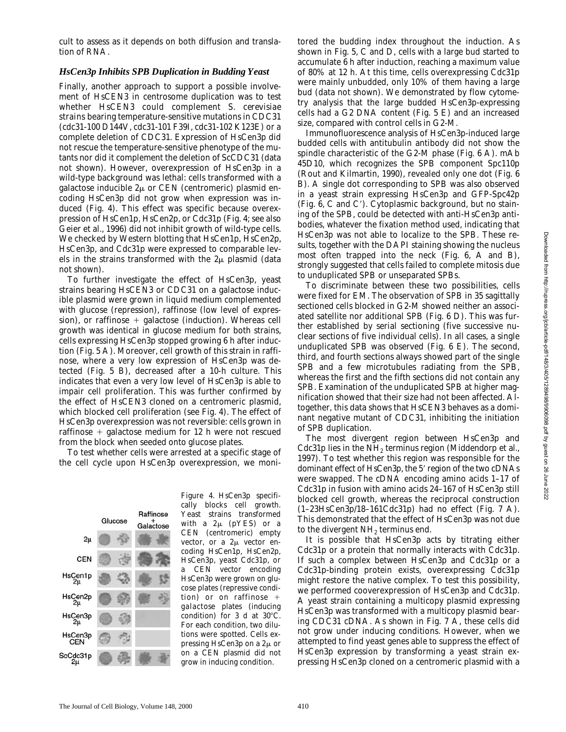cult to assess as it depends on both diffusion and translation of RNA.

#### *HsCen3p Inhibits SPB Duplication in Budding Yeast*

Finally, another approach to support a possible involvement of *HsCEN3* in centrosome duplication was to test whether *HsCEN3* could complement *S*. *cerevisiae* strains bearing temperature-sensitive mutations in *CDC31* (*cdc31*-100 D144V, *cdc31*-101 F39I, *cdc31*-102 K123E) or a complete deletion of *CDC31*. Expression of HsCen3p did not rescue the temperature-sensitive phenotype of the mutants nor did it complement the deletion of *ScCDC31* (data not shown). However, overexpression of HsCen3p in a wild-type background was lethal: cells transformed with a galactose inducible  $2\mu$  or CEN (centromeric) plasmid encoding HsCen3p did not grow when expression was induced (Fig. 4). This effect was specific because overexpression of HsCen1p, HsCen2p, or Cdc31p (Fig. 4; see also Geier et al., 1996) did not inhibit growth of wild-type cells. We checked by Western blotting that HsCen1p, HsCen2p, HsCen3p, and Cdc31p were expressed to comparable levels in the strains transformed with the  $2\mu$  plasmid (data not shown).

To further investigate the effect of HsCen3p, yeast strains bearing *HsCEN3* or *CDC31* on a galactose inducible plasmid were grown in liquid medium complemented with glucose (repression), raffinose (low level of expression), or raffinose  $+$  galactose (induction). Whereas cell growth was identical in glucose medium for both strains, cells expressing HsCen3p stopped growing 6 h after induction (Fig. 5 A). Moreover, cell growth of this strain in raffinose, where a very low expression of HsCen3p was detected (Fig. 5 B), decreased after a 10-h culture. This indicates that even a very low level of HsCen3p is able to impair cell proliferation. This was further confirmed by the effect of *HsCEN3* cloned on a centromeric plasmid, which blocked cell proliferation (see Fig. 4). The effect of HsCen3p overexpression was not reversible: cells grown in raffinose  $+$  galactose medium for 12 h were not rescued from the block when seeded onto glucose plates.

To test whether cells were arrested at a specific stage of the cell cycle upon HsCen3p overexpression, we moni-



*Figure 4.* HsCen3p specifically blocks cell growth. Yeast strains transformed with a  $2\mu$  (pYES) or a CEN (centromeric) empty vector, or a  $2\mu$  vector encoding HsCen1p, HsCen2p, HsCen3p, yeast Cdc31p, or a CEN vector encoding HsCen3p were grown on glucose plates (repressive condition) or on raffinose  $+$ galactose plates (inducing condition) for 3 d at  $30^{\circ}$ C. For each condition, two dilutions were spotted. Cells expressing HsCen3p on a  $2\mu$  or on a CEN plasmid did not grow in inducing condition.

tored the budding index throughout the induction. As shown in Fig. 5, C and D, cells with a large bud started to accumulate 6 h after induction, reaching a maximum value of 80% at 12 h. At this time, cells overexpressing Cdc31p were mainly unbudded, only 10% of them having a large bud (data not shown). We demonstrated by flow cytometry analysis that the large budded HsCen3p-expressing cells had a G2 DNA content (Fig. 5 E) and an increased size, compared with control cells in G2-M.

Immunofluorescence analysis of HsCen3p-induced large budded cells with antitubulin antibody did not show the spindle characteristic of the G2-M phase (Fig. 6 A). mAb 45D10, which recognizes the SPB component Spc110p (Rout and Kilmartin, 1990), revealed only one dot (Fig. 6 B). A single dot corresponding to SPB was also observed in a yeast strain expressing HsCen3p and GFP-Spc42p (Fig.  $6$ , C and C'). Cytoplasmic background, but no staining of the SPB, could be detected with anti-HsCen3p antibodies, whatever the fixation method used, indicating that HsCen3p was not able to localize to the SPB. These results, together with the DAPI staining showing the nucleus most often trapped into the neck (Fig. 6, A and B), strongly suggested that cells failed to complete mitosis due to unduplicated SPB or unseparated SPBs.

To discriminate between these two possibilities, cells were fixed for EM. The observation of SPB in 35 sagittally sectioned cells blocked in G2-M showed neither an associated satellite nor additional SPB (Fig. 6 D). This was further established by serial sectioning (five successive nuclear sections of five individual cells). In all cases, a single unduplicated SPB was observed (Fig. 6 E). The second, third, and fourth sections always showed part of the single SPB and a few microtubules radiating from the SPB, whereas the first and the fifth sections did not contain any SPB. Examination of the unduplicated SPB at higher magnification showed that their size had not been affected. Altogether, this data shows that *HsCEN3* behaves as a dominant negative mutant of *CDC31*, inhibiting the initiation of SPB duplication.

The most divergent region between HsCen3p and Cdc31p lies in the NH<sub>2</sub> terminus region (Middendorp et al., 1997). To test whether this region was responsible for the dominant effect of HsCen3p, the 5' region of the two cDNAs were swapped. The cDNA encoding amino acids 1–17 of Cdc31p in fusion with amino acids 24–167 of HsCen3p still blocked cell growth, whereas the reciprocal construction  $(1-23HsCen3p/18-161Cdc31p)$  had no effect (Fig. 7 A). This demonstrated that the effect of HsCen3p was not due to the divergent  $NH<sub>2</sub>$  terminus end.

It is possible that HsCen3p acts by titrating either Cdc31p or a protein that normally interacts with Cdc31p. If such a complex between HsCen3p and Cdc31p or a Cdc31p-binding protein exists, overexpressing Cdc31p might restore the native complex. To test this possibility, we performed cooverexpression of HsCen3p and Cdc31p. A yeast strain containing a multicopy plasmid expressing HsCen3p was transformed with a multicopy plasmid bearing *CDC31* cDNA. As shown in Fig. 7 A, these cells did not grow under inducing conditions. However, when we attempted to find yeast genes able to suppress the effect of HsCen3p expression by transforming a yeast strain expressing HsCen3p cloned on a centromeric plasmid with a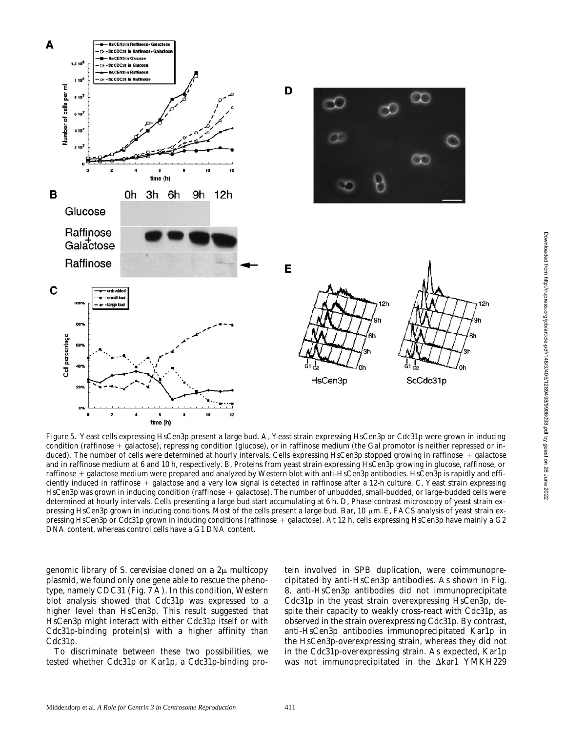

*Figure 5.* Yeast cells expressing HsCen3p present a large bud. A, Yeast strain expressing HsCen3p or Cdc31p were grown in inducing condition (raffinose  $+$  galactose), repressing condition (glucose), or in raffinose medium (the Gal promotor is neither repressed or induced). The number of cells were determined at hourly intervals. Cells expressing HsCen3p stopped growing in raffinose + galactose and in raffinose medium at 6 and 10 h, respectively. B, Proteins from yeast strain expressing HsCen3p growing in glucose, raffinose, or raffinose + galactose medium were prepared and analyzed by Western blot with anti-HsCen3p antibodies. HsCen3p is rapidly and efficiently induced in raffinose  $+$  galactose and a very low signal is detected in raffinose after a 12-h culture. C, Yeast strain expressing HsCen3p was grown in inducing condition (raffinose + galactose). The number of unbudded, small-budded, or large-budded cells were determined at hourly intervals. Cells presenting a large bud start accumulating at 6 h. D, Phase-contrast microscopy of yeast strain expressing HsCen3p grown in inducing conditions. Most of the cells present a large bud. Bar, 10 µm. E, FACS analysis of yeast strain expressing HsCen3p or Cdc31p grown in inducing conditions (raffinose + galactose). At 12 h, cells expressing HsCen3p have mainly a G2 DNA content, whereas control cells have a G1 DNA content.

genomic library of *S. cerevisiae* cloned on a  $2\mu$  multicopy plasmid, we found only one gene able to rescue the phenotype, namely *CDC31* (Fig. 7 A). In this condition, Western blot analysis showed that Cdc31p was expressed to a higher level than HsCen3p. This result suggested that HsCen3p might interact with either Cdc31p itself or with Cdc31p-binding protein(s) with a higher affinity than Cdc31p.

To discriminate between these two possibilities, we tested whether Cdc31p or Kar1p, a Cdc31p-binding protein involved in SPB duplication, were coimmunoprecipitated by anti-HsCen3p antibodies. As shown in Fig. 8, anti-HsCen3p antibodies did not immunoprecipitate Cdc31p in the yeast strain overexpressing HsCen3p, despite their capacity to weakly cross-react with Cdc31p, as observed in the strain overexpressing Cdc31p. By contrast, anti-HsCen3p antibodies immunoprecipitated Kar1p in the HsCen3p-overexpressing strain, whereas they did not in the Cdc31p-overexpressing strain. As expected, Kar1p was not immunoprecipitated in the  $\Delta k$ ar1 YMKH229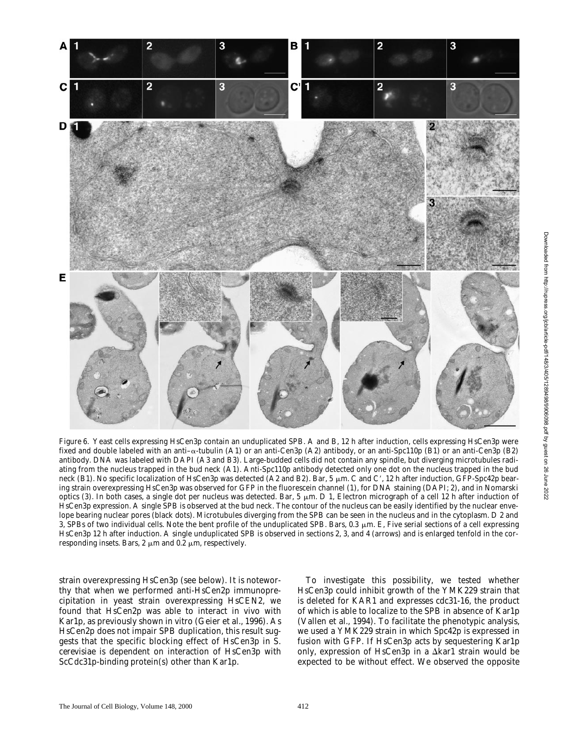

*Figure 6.* Yeast cells expressing HsCen3p contain an unduplicated SPB. A and B, 12 h after induction, cells expressing HsCen3p were fixed and double labeled with an anti- $\alpha$ -tubulin (A1) or an anti-Cen3p (A2) antibody, or an anti-Spc110p (B1) or an anti-Cen3p (B2) antibody. DNA was labeled with DAPI (A3 and B3). Large-budded cells did not contain any spindle, but diverging microtubules radiating from the nucleus trapped in the bud neck (A1). Anti-Spc110p antibody detected only one dot on the nucleus trapped in the bud neck (B1). No specific localization of HsCen3p was detected (A2 and B2). Bar, 5  $\mu$ m. C and C', 12 h after induction, GFP-Spc42p bearing strain overexpressing HsCen3p was observed for GFP in the fluorescein channel (1), for DNA staining (DAPI; 2), and in Nomarski optics (3). In both cases, a single dot per nucleus was detected. Bar, 5  $\mu$ m. D 1, Electron micrograph of a cell 12 h after induction of HsCen3p expression. A single SPB is observed at the bud neck. The contour of the nucleus can be easily identified by the nuclear envelope bearing nuclear pores (black dots). Microtubules diverging from the SPB can be seen in the nucleus and in the cytoplasm. D 2 and 3, SPBs of two individual cells. Note the bent profile of the unduplicated SPB. Bars,  $0.3 \mu m$ . E, Five serial sections of a cell expressing HsCen3p 12 h after induction. A single unduplicated SPB is observed in sections 2, 3, and 4 (arrows) and is enlarged tenfold in the corresponding insets. Bars, 2  $\mu$ m and 0.2  $\mu$ m, respectively.

strain overexpressing HsCen3p (see below). It is noteworthy that when we performed anti-HsCen2p immunoprecipitation in yeast strain overexpressing *HsCEN2*, we found that HsCen2p was able to interact in vivo with Kar1p, as previously shown in vitro (Geier et al., 1996). As HsCen2p does not impair SPB duplication, this result suggests that the specific blocking effect of HsCen3p in *S*. *cerevisiae* is dependent on interaction of HsCen3p with ScCdc31p-binding protein(s) other than Kar1p.

To investigate this possibility, we tested whether HsCen3p could inhibit growth of the YMK229 strain that is deleted for *KAR1* and expresses *cdc31-16*, the product of which is able to localize to the SPB in absence of Kar1p (Vallen et al., 1994). To facilitate the phenotypic analysis, we used a YMK229 strain in which Spc42p is expressed in fusion with GFP. If HsCen3p acts by sequestering Kar1p only, expression of HsCen3p in a  $\Delta k$ ar1 strain would be expected to be without effect. We observed the opposite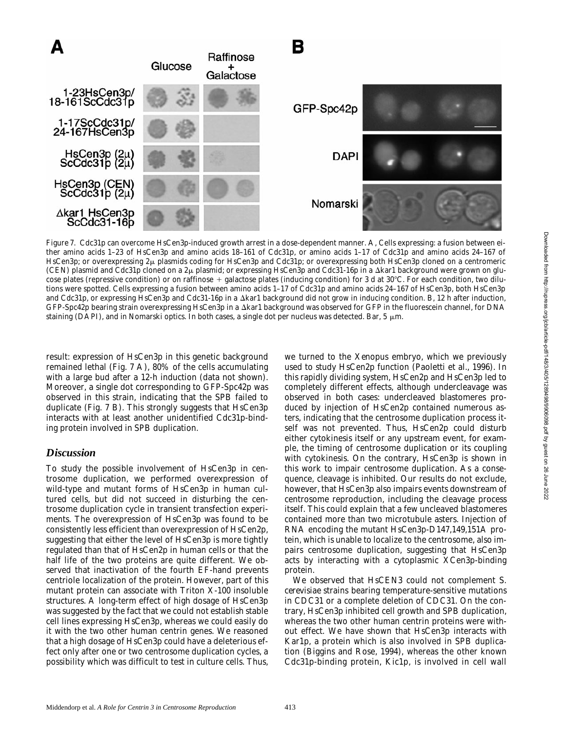

*Figure 7.* Cdc31p can overcome HsCen3p-induced growth arrest in a dose-dependent manner. A, Cells expressing: a fusion between either amino acids 1–23 of HsCen3p and amino acids 18–161 of Cdc31p, or amino acids 1–17 of Cdc31p and amino acids 24–167 of HsCen3p; or overexpressing  $2\mu$  plasmids coding for HsCen3p and Cdc31p; or overexpressing both HsCen3p cloned on a centromeric (CEN) plasmid and Cdc31p cloned on a  $2\mu$  plasmid; or expressing HsCen3p and Cdc31-16p in a  $\Delta k$ ar1 background were grown on glucose plates (repressive condition) or on raffinose  $+$  galactose plates (inducing condition) for 3 d at 30°C. For each condition, two dilutions were spotted. Cells expressing a fusion between amino acids 1–17 of Cdc31p and amino acids 24–167 of HsCen3p, both HsCen3p and Cdc31p, or expressing HsCen3p and Cdc31-16p in a  $\Delta k$ ar1 background did not grow in inducing condition. B, 12 h after induction, GFP-Spc42p bearing strain overexpressing HsCen3p in a D*kar1* background was observed for GFP in the fluorescein channel, for DNA staining (DAPI), and in Nomarski optics. In both cases, a single dot per nucleus was detected. Bar, 5  $\mu$ m.

result: expression of HsCen3p in this genetic background remained lethal (Fig. 7 A), 80% of the cells accumulating with a large bud after a 12-h induction (data not shown). Moreover, a single dot corresponding to GFP-Spc42p was observed in this strain, indicating that the SPB failed to duplicate (Fig. 7 B). This strongly suggests that HsCen3p interacts with at least another unidentified Cdc31p-binding protein involved in SPB duplication.

# *Discussion*

To study the possible involvement of HsCen3p in centrosome duplication, we performed overexpression of wild-type and mutant forms of HsCen3p in human cultured cells, but did not succeed in disturbing the centrosome duplication cycle in transient transfection experiments. The overexpression of HsCen3p was found to be consistently less efficient than overexpression of HsCen2p, suggesting that either the level of HsCen3p is more tightly regulated than that of HsCen2p in human cells or that the half life of the two proteins are quite different. We observed that inactivation of the fourth EF-hand prevents centriole localization of the protein. However, part of this mutant protein can associate with Triton X-100 insoluble structures. A long-term effect of high dosage of HsCen3p was suggested by the fact that we could not establish stable cell lines expressing HsCen3p, whereas we could easily do it with the two other human centrin genes. We reasoned that a high dosage of HsCen3p could have a deleterious effect only after one or two centrosome duplication cycles, a possibility which was difficult to test in culture cells. Thus,

we turned to the *Xenopus* embryo, which we previously used to study HsCen2p function (Paoletti et al., 1996). In this rapidly dividing system, HsCen2p and HsCen3p led to completely different effects, although undercleavage was observed in both cases: undercleaved blastomeres produced by injection of HsCen2p contained numerous asters, indicating that the centrosome duplication process itself was not prevented. Thus, HsCen2p could disturb either cytokinesis itself or any upstream event, for example, the timing of centrosome duplication or its coupling with cytokinesis. On the contrary, HsCen3p is shown in this work to impair centrosome duplication. As a consequence, cleavage is inhibited. Our results do not exclude, however, that HsCen3p also impairs events downstream of centrosome reproduction, including the cleavage process itself. This could explain that a few uncleaved blastomeres contained more than two microtubule asters. Injection of RNA encoding the mutant HsCen3p-D147,149,151A protein, which is unable to localize to the centrosome, also impairs centrosome duplication, suggesting that HsCen3p acts by interacting with a cytoplasmic XCen3p-binding protein.

We observed that *HsCEN3* could not complement *S*. *cerevisiae* strains bearing temperature-sensitive mutations in *CDC31* or a complete deletion of *CDC31*. On the contrary, HsCen3p inhibited cell growth and SPB duplication, whereas the two other human centrin proteins were without effect. We have shown that HsCen3p interacts with Kar1p, a protein which is also involved in SPB duplication (Biggins and Rose, 1994), whereas the other known Cdc31p-binding protein, Kic1p, is involved in cell wall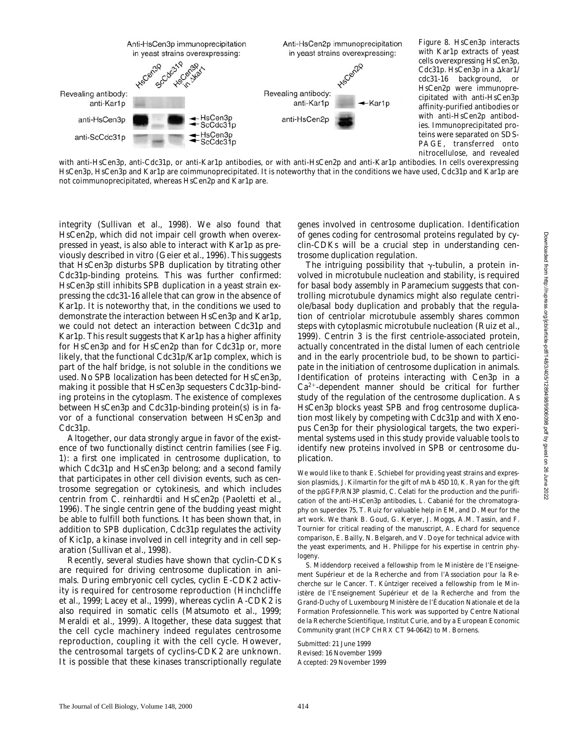

*Figure 8.* HsCen3p interacts with Kar1p extracts of yeast cells overexpressing HsCen3p, Cdc31p. HsCen3p in a Δkar1/ cdc31-16 background, or HsCen2p were immunoprecipitated with anti-HsCen3p affinity-purified antibodies or with anti-HsCen2p antibodies. Immunoprecipitated proteins were separated on SDS-PAGE, transferred onto nitrocellulose, and revealed

with anti-HsCen3p, anti-Cdc31p, or anti-Kar1p antibodies, or with anti-HsCen2p and anti-Kar1p antibodies. In cells overexpressing HsCen3p, HsCen3p and Kar1p are coimmunoprecipitated. It is noteworthy that in the conditions we have used, Cdc31p and Kar1p are not coimmunoprecipitated, whereas HsCen2p and Kar1p are.

integrity (Sullivan et al., 1998). We also found that HsCen2p, which did not impair cell growth when overexpressed in yeast, is also able to interact with Kar1p as previously described in vitro (Geier et al., 1996). This suggests that HsCen3p disturbs SPB duplication by titrating other Cdc31p-binding proteins. This was further confirmed: HsCen3p still inhibits SPB duplication in a yeast strain expressing the *cdc31-16* allele that can grow in the absence of Kar1p. It is noteworthy that, in the conditions we used to demonstrate the interaction between HsCen3p and Kar1p, we could not detect an interaction between Cdc31p and Kar1p. This result suggests that Kar1p has a higher affinity for HsCen3p and for HsCen2p than for Cdc31p or, more likely, that the functional Cdc31p/Kar1p complex, which is part of the half bridge, is not soluble in the conditions we used. No SPB localization has been detected for HsCen3p, making it possible that HsCen3p sequesters Cdc31p-binding proteins in the cytoplasm. The existence of complexes between HsCen3p and Cdc31p-binding protein(s) is in favor of a functional conservation between HsCen3p and Cdc31p.

Altogether, our data strongly argue in favor of the existence of two functionally distinct centrin families (see Fig. 1): a first one implicated in centrosome duplication, to which Cdc31p and HsCen3p belong; and a second family that participates in other cell division events, such as centrosome segregation or cytokinesis, and which includes centrin from *C*. *reinhardtii* and HsCen2p (Paoletti et al., 1996). The single centrin gene of the budding yeast might be able to fulfill both functions. It has been shown that, in addition to SPB duplication, Cdc31p regulates the activity of Kic1p, a kinase involved in cell integrity and in cell separation (Sullivan et al., 1998).

Recently, several studies have shown that cyclin-CDKs are required for driving centrosome duplication in animals. During embryonic cell cycles, cyclin E-CDK2 activity is required for centrosome reproduction (Hinchcliffe et al., 1999; Lacey et al., 1999), whereas cyclin A-CDK2 is also required in somatic cells (Matsumoto et al., 1999; Meraldi et al., 1999). Altogether, these data suggest that the cell cycle machinery indeed regulates centrosome reproduction, coupling it with the cell cycle. However, the centrosomal targets of cyclins-CDK2 are unknown. It is possible that these kinases transcriptionally regulate

genes involved in centrosome duplication. Identification of genes coding for centrosomal proteins regulated by cyclin-CDKs will be a crucial step in understanding centrosome duplication regulation.

The intriguing possibility that  $\gamma$ -tubulin, a protein involved in microtubule nucleation and stability, is required for basal body assembly in *Paramecium* suggests that controlling microtubule dynamics might also regulate centriole/basal body duplication and probably that the regulation of centriolar microtubule assembly shares common steps with cytoplasmic microtubule nucleation (Ruiz et al., 1999). Centrin 3 is the first centriole-associated protein, actually concentrated in the distal lumen of each centriole and in the early procentriole bud, to be shown to participate in the initiation of centrosome duplication in animals. Identification of proteins interacting with Cen3p in a  $Ca<sup>2+</sup>$ -dependent manner should be critical for further study of the regulation of the centrosome duplication. As HsCen3p blocks yeast SPB and frog centrosome duplication most likely by competing with Cdc31p and with *Xenopus* Cen3p for their physiological targets, the two experimental systems used in this study provide valuable tools to identify new proteins involved in SPB or centrosome duplication.

We would like to thank E. Schiebel for providing yeast strains and expression plasmids, J. Kilmartin for the gift of mAb 45D10, K. Ryan for the gift of the pbGFP/RN3P plasmid, C. Celati for the production and the purification of the anti-HsCen3p antibodies, L. Cabanié for the chromatography on superdex 75, T. Ruiz for valuable help in EM, and D. Meur for the art work. We thank B. Goud, G. Keryer, J. Moggs, A.M. Tassin, and F. Tournier for critical reading of the manuscript, A. Echard for sequence comparison, E. Bailly, N. Belgareh, and V. Doye for technical advice with the yeast experiments, and H. Philippe for his expertise in centrin phylogeny.

S. Middendorp received a fellowship from le Ministère de l'Enseignement Supérieur et de la Recherche and from l'Association pour la Recherche sur le Cancer. T. Küntziger received a fellowship from le Ministère de l'Enseignement Supérieur et de la Recherche and from the Grand-Duchy of Luxembourg Ministère de l'Éducation Nationale et de la Formation Professionnelle. This work was supported by Centre National de la Recherche Scientifique, Institut Curie, and by a European Economic Community grant (HCP CHRX CT 94-0642) to M. Bornens.

Submitted: 21 June 1999 Revised: 16 November 1999 Accepted: 29 November 1999